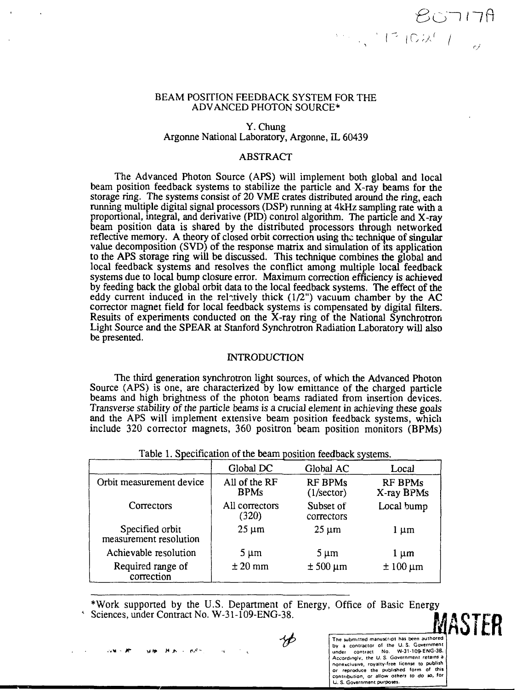## BEAM POSITION FEEDBACK SYSTEM FOR THE ADVANCED PHOTON SOURCE\*

# Y. Chung Argonne National Laboratory, Argonne, IL 60439

### ABSTRACT

The Advanced Photon Source (APS) will implement both global and local beam position feedback systems to stabilize the particle and X-ray beams for the storage ring. The systems consist of 20 VME crates distributed around the ring, each running multiple digital signal processors (DSP) running at 4kHz sampling rate with a proportional, integral, and derivative (PID) control algorithm. The particle and X-ray beam position data is shared by the distributed processors through networked reflective memory. A theory of closed orbit correction using the technique of singular value decomposition (SVD) of the response matrix and simulation of its application to the APS storage ring will be discussed. This technique combines the global and local feedback systems and resolves the conflict among multiple local feedback systems due to local bump closure error. Maximum correction efficiency is achieved by feeding back the global orbit data to the local feedback systems. The effect of the eddy current induced in the relatively thick  $(1/2)$  vacuum chamber by the AC corrector magnet field for local feedback systems is compensated by digital filters. Results of experiments conducted on the X-ray ring of the National Synchrotron Light Source and the SPEAR at Stanford Synchrotron Radiation Laboratory will also be presented.

#### INTRODUCTION

The third generation synchrotron light sources, of which the Advanced Photon Source (APS) is one, are characterized by low emittance of the charged particle beams and high brightness of the photon beams radiated from insertion devices. Transverse stability of the particle beams is a crucial element in achieving these goals and the APS will implement extensive beam position feedback systems, which include 320 corrector magnets, 360 positron beam position monitors (BPMs)

|                                           | Global DC                    | Global AC                             | Local                 |  |
|-------------------------------------------|------------------------------|---------------------------------------|-----------------------|--|
| Orbit measurement device                  | All of the RF<br><b>BPMs</b> | <b>RF BPMs</b><br>$(1/\text{sector})$ | RF BPMs<br>X-ray BPMs |  |
| Correctors                                | All correctors<br>(320)      | Subset of<br>correctors               | Local bump            |  |
| Specified orbit<br>measurement resolution | $25 \mu m$                   | $25 \mu m$                            | l µm                  |  |
| Achievable resolution                     | $5 \mu m$                    | $5 \mu m$                             | l µm                  |  |
| Required range of<br>correction           | $± 20$ mm                    | $± 500 \mu m$                         | $±100 \mu m$          |  |

Table 1. Specification of the beam position feedback systems.

\*Work supported by the U.S. Department of Energy, Office of Basic Energy Sciences, under Contract No. W-31-109-ENG-38. MASTER

YÞ

The submitted manuscript has been authored by a contractor ol the U. S. Government<br>under contract No. W-31-109-ENG-38.<br>Accordingly, the U. S. Government retains a<br>nonexclusive, royalty-free license to publish<br>or reproduce the published form of this contribution, or allow others to do so, **for**

 $80717A$ 

 $1.1710277$ 

Li. S. Government purposes.

 $\mu$   $\epsilon$  -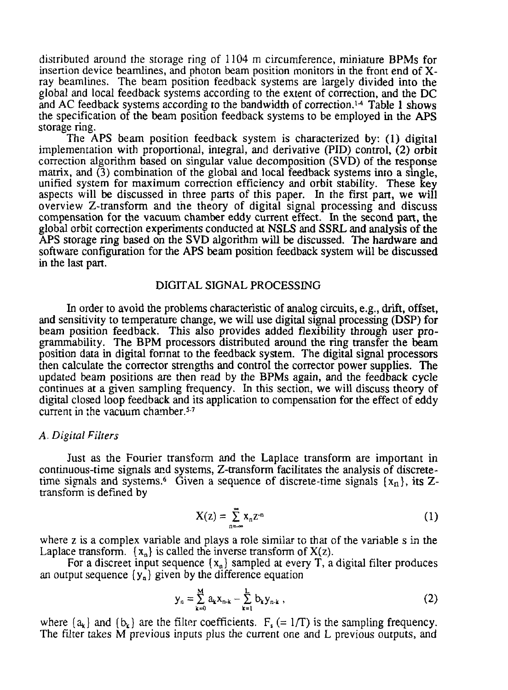distributed around the storage ring of 1104 m circumference, miniature BPMs for insertion device beamlines, and photon beam position monitors in the front end of Xray beamlines. The beam position feedback systems are largely divided into the global and local feedback systems according to the extent of correction, and the DC and AC feedback systems according to the bandwidth of correction.<sup>14</sup> Table 1 shows the specification of the beam position feedback systems to be employed in the APS storage ring.

The APS beam position feedback system is characterized by: (1) digital implementation with proportional, integral, and derivative (PID) control, (2) orbit correction algorithm based on singular value decomposition (SVD) of the response matrix, and (3) combination of the global and local feedback systems into a single, unified system for maximum correction efficiency and orbit stability. These key aspects will be discussed in three parts of this paper. In the first part, we will overview Z-transform and the theory of digital signal processing and discuss compensation for the vacuum chamber eddy current effect. In the second part, the global orbit correction experiments conducted at NSLS and SSRL and analysis of the APS storage ring based on the SVD algorithm will be discussed. The hardware and software configuration for the APS beam position feedback system will be discussed in the last part.

#### DIGITAL SIGNAL PROCESSING

In order to avoid the problems characteristic of analog circuits, e.g., drift, offset, and sensitivity to temperature change, we will use digital signal processing (DSP) for beam position feedback. This also provides added flexibility through user programmability. The BPM processors distributed around the ring transfer the beam position data in digital format to the feedback system. The digital signal processors then calculate the corrector strengths and control the corrector power supplies. The updated beam positions are then read by the BPMs again, and the feedback cycle continues at a given sampling frequency. In this section, we will discuss theory of digital closed loop feedback and its application to compensation for the effect of eddy current in the vacuum chamber.<sup>5-7</sup>

#### *A. Digital Filters*

Just as the Fourier transform and the Laplace transform are important in continuous-time signals and systems, Z-transform facilitates the analysis of discretetime signals and systems.<sup>6</sup> Given a sequence of discrete-time signals  $(x_n)$ , its Ztransform is defined by

$$
X(z) = \sum_{n=-\infty}^{\infty} X_n z^{n}
$$
 (1)

where z is a complex variable and plays a role similar to that of the variable s in the Laplace transform.  $\{x_n\}$  is called the inverse transform of  $X(z)$ .

For a discreet input sequence  $\{x_n\}$  sampled at every T, a digital filter produces an output sequence  $\{y_n\}$  given by the difference equation

$$
y_n = \sum_{k=0}^{M} a_k x_{n-k} - \sum_{k=1}^{L} b_k y_{n-k} , \qquad (2)
$$

where  $\{a_k\}$  and  $\{b_k\}$  are the filter coefficients.  $F_s (= 1/T)$  is the sampling frequency. The filter takes M previous inputs plus the current one and L previous outputs, and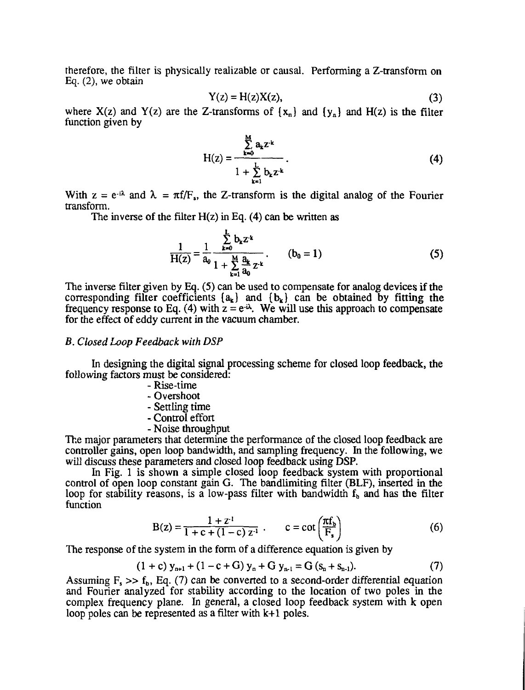therefore, the filter is physically realizable or causal. Performing a Z-transform on Eq. (2), we obtain

$$
Y(z) = H(z)X(z),
$$
 (3)

where  $X(z)$  and  $Y(z)$  are the Z-transforms of  $\{x_n\}$  and  $\{y_n\}$  and  $H(z)$  is the filter function given by

$$
H(z) = \frac{\sum_{k=0}^{M} a_k z^{-k}}{1 + \sum_{k=1}^{L} b_k z^{-k}}.
$$
 (4)

With  $z = e^{-i\lambda}$  and  $\lambda = \pi f/F_s$ , the Z-transform is the digital analog of the Fourier transform.

The inverse of the filter  $H(z)$  in Eq. (4) can be written as

$$
\frac{1}{H(z)} = \frac{1}{a_0} \frac{\sum_{k=0}^{L} b_k z^k}{1 + \sum_{k=1}^{M} \frac{a_k}{a_0} z^k} \qquad (b_0 = 1)
$$
 (5)

The inverse filter given by Eq. (5) can be used to compensate for analog devices if the corresponding filter coefficients  $\{a_k\}$  and  $\{b_k\}$  can be obtained by fitting the frequency response to Eq. (4) with  $z = e^{i\lambda}$ . We will use this approach to compensate for the effect of eddy current in the vacuum chamber.

# *B. Closed Loop Feedback with DSP*

In designing the digital signal processing scheme for closed loop feedback, the following factors must be considered:

- Rise-time
- Overshoot
- Settling time
- Control effort
- Noise throughput

The major parameters that determine the performance of the closed loop feedback are controller gains, open loop bandwidth, and sampling frequency. In the following, we will discuss these parameters and closed loop feedback using DSP.

In Fig. 1 is shown a simple closed loop feedback system with proportional control of open loop constant gain G. The bandlimiting filter (BLF), inserted in the loop for stability reasons, is a low-pass filter with bandwidth  $f<sub>b</sub>$  and has the filter function

$$
B(z) = \frac{1 + z^{1}}{1 + c + (1 - c) z^{1}} \ . \qquad c = \cot\left(\frac{\pi f_b}{F_s}\right) \tag{6}
$$

The response of the system in the form of a difference equation is given by

$$
(1 + c) y_{n+1} + (1 - c + G) y_n + G y_{n+1} = G (s_n + s_{n+1}).
$$
 (7)

Assuming  $F_s \gg f_h$ , Eq. (7) can be converted to a second-order differential equation and Fourier analyzed for stability according to the location of two poles in the complex frequency plane. In general, a closed loop feedback system with k open loop poles can be represented as a filter with k+1 poles.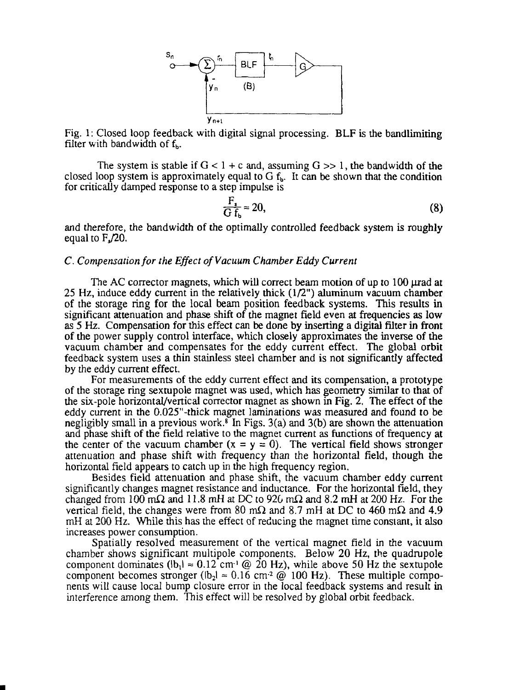

Fig. 1: Closed loop feedback with digital signal processing. BLF is the bandlimiting filter with bandwidth of  $f<sub>b</sub>$ .

The system is stable if  $G < 1 + c$  and, assuming  $G > > 1$ , the bandwidth of the closed loop system is approximately equal to  $G f_b$ . It can be shown that the condition for critically damped response to a step impulse is

$$
\frac{F_s}{G f_b} \approx 20,\tag{8}
$$

and therefore, the bandwidth of the optimally controlled feedback system is roughly equal to  $F<sub>u</sub>$ , 20.

# *C. Compensation for the Effect of Vacuum Chamber Eddy Current*

The AC corrector magnets, which will correct beam motion of up to 100 urad at 25 Hz, induce eddy current in the relatively thick (1/2") aluminum vacuum chamber of the storage ring for the local beam position feedback systems. This results in significant attenuation and phase shift of the magnet field even at frequencies as low as 5 Hz. Compensation for this effect can be done by inserting a digital filter in front of the power supply control interface, which closely approximates the inverse of the vacuum chamber and compensates for the eddy current effect. The global orbit feedback system uses a thin stainless steel chamber and is not significantly affected by the eddy current effect.

For measurements of the eddy current effect and its compensation, a prototype of the storage ring sextupole magnet was used, which has geometry similar to that of the six-pole horizontal/vertical corrector magnet as shown in Fig. 2. The effect of the eddy current in the 0.025"-thick magnet laminations was measured and found to be negligibly small in a previous work.<sup>8</sup> In Figs. 3(a) and 3(b) are shown the attenuation and phase shift of the field relative to the magnet current as functions of frequency at the center of the vacuum chamber  $(x = y = 0)$ . The vertical field shows stronger attenuation and phase shift with frequency than the horizontal field, though the horizontal field appears to catch up in the high frequency region.

Besides field attenuation and phase shift, the vacuum chamber eddy current significantly changes magnet resistance and inductance. For the horizontal field, they changed from 100 m $\Omega$  and 11.8 mH at DC to 926 m $\Omega$  and 8.2 mH at 200 Hz. For the vertical field, the changes were from 80 m $\Omega$  and 8.7 mH at DC to 460 m $\Omega$  and 4.9 mH at 200 Hz. While this has the effect of reducing the magnet time constant, it also increases power consumption.

Spatially resolved measurement of the vertical magnet field in the vacuum chamber shows significant multipole components. Below 20 Hz, the quadrupole component dominates  $(lb_1) \approx 0.12$  cm<sup>-1</sup> @ 20 Hz), while above 50 Hz the sextupole component becomes stronger  $(lb_2) \approx 0.16$  cm<sup>-2</sup>  $\omega$  100 Hz). These multiple components will cause local bump closure error in the local feedback systems and result in interference among them. This effect will be resolved by global orbit feedback.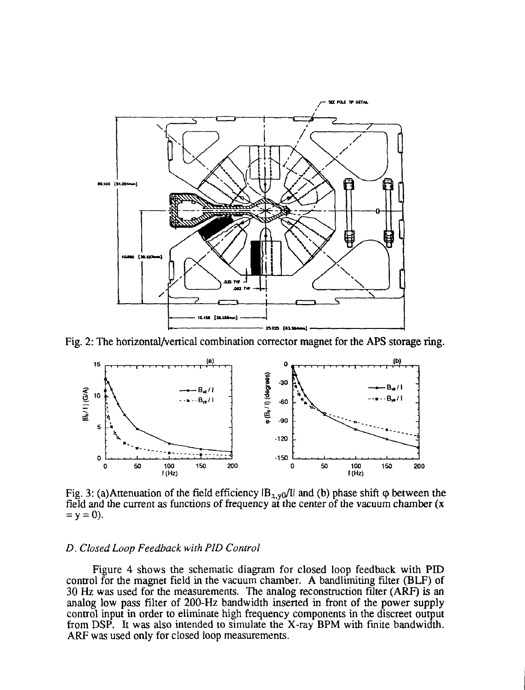

Fig. 2: The horizontal/vertical combination corrector magnet for the APS storage ring.



Fig. 3: (a)Attenuation of the field efficiency  $|B_{x,y0}/I|$  and (b) phase shift  $\varphi$  between the field and the current as functions of frequency at the center of the vacuum chamber (x  $= y = 0$ ).

# *D. Closed Loop Feedback with PID Control*

Figure 4 shows the schematic diagram for closed loop feedback with PID control for the magnet field in the vacuum chamber. A bandlimiting filter (BLF) of 30 Hz was used for the measurements. The analog reconstruction filter (ARF) is an analog low pass filter of 200-Hz bandwidth inserted in front of the power supply control input in order to eliminate high frequency components in the discreet output from DSP. It was also intended to simulate the X-ray BPM with finite bandwidth. ARF was used only for closed loop measurements.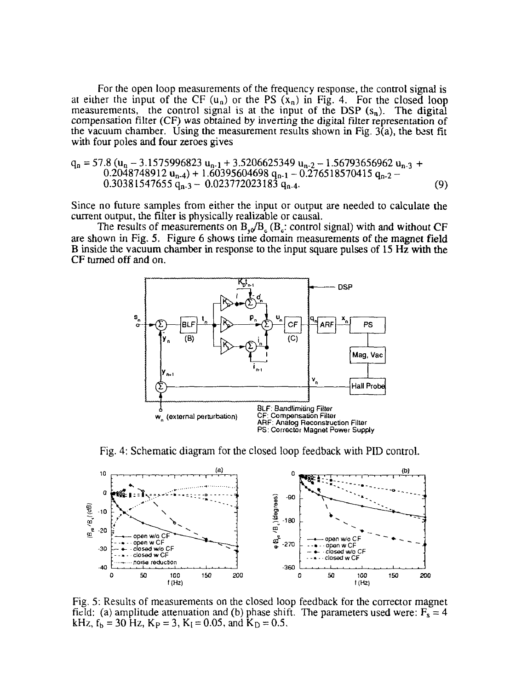For the open loop measurements of the frequency response, the control signal is at either the input of the CF  $(u_n)$  or the PS  $(x_n)$  in Fig. 4. For the closed loop measurements, the control signal is at the input of the DSP  $(s_n)$ . The digital compensation filter (CF) was obtained by inverting the digital filter representation of the vacuum chamber. Using the measurement results shown in Fig.  $3(a)$ , the best fit with four poles and four zeroes gives

$$
q_n = 57.8 (u_n - 3.1575996823 u_{n-1} + 3.5206625349 u_{n-2} - 1.56793656962 u_{n-3} + 0.2048748912 u_{n-4}) + 1.60395604698 u_{n-1} - 0.276518570415 u_{n-2} - 0.30381547655 u_{n-3} - 0.023772023183 u_{n-4}.
$$
\n(9)

Since no future samples from either the input or output are needed to calculate the current output, the filter is physically realizable or causal.

The results of measurements on  $B_{y0}/B_c$  ( $B_c$ : control signal) with and without CF are shown in Fig. 5. Figure 6 shows time domain measurements of the magnet field B inside the vacuum chamber in response to the input square pulses of 15 Hz with the CF turned off and on.



Fig. 4: Schematic diagram for the closed loop feedback with PID control.



Fig. 5: Results of measurements on the closed loop feedback for the corrector magnet field: (a) amplitude attenuation and (b) phase shift. The parameters used were:  $F_s = 4$ kHz,  $f_b = 30$  Hz,  $K_p = 3$ ,  $K_l = 0.05$ , and  $K_p = 0.5$ .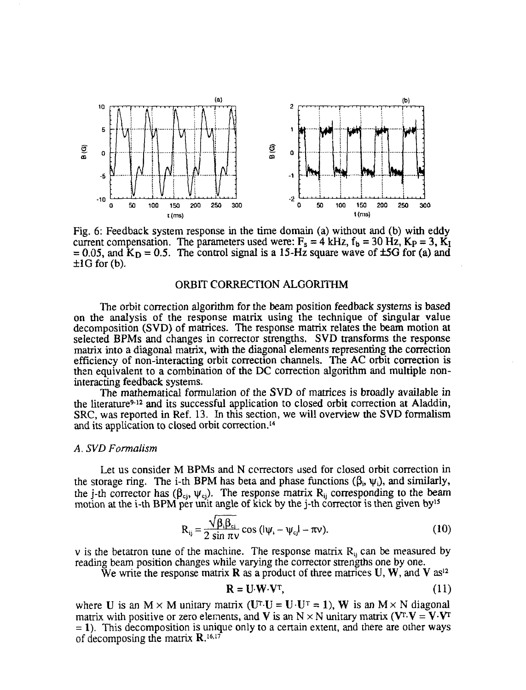

Fig. 6: Feedback system response in the time domain (a) without and (b) with eddy current compensation. The parameters used were:  $F_s = 4 \text{ kHz}$ ,  $f_b = 30 \text{ Hz}$ ,  $K_P = 3$ ,  $K_I$  $= 0.05$ , and  $K_D = 0.5$ . The control signal is a 15-Hz square wave of  $\pm$ 5G for (a) and  $\pm 1G$  for (b).

# ORBIT CORRECTION ALGORITHM

The orbit correction algorithm for the beam position feedback systems is based on the analysis of the response matrix using the technique of singular value decomposition (SVD) of matrices. The response matrix relates the beam motion at selected BPMs and changes in corrector strengths. SVD transforms the response matrix into a diagonal matrix, with the diagonal elements representing the correction efficiency of non-interacting orbit correction channels. The AC orbit correction is then equivalent to a combination of the DC correction algorithm and multiple noninteracting feedback systems.

The mathematical formulation of the SVD of matrices is broadly available in the literature<sup>9-12</sup> and its successful application to closed orbit correction at Aladdin, SRC, was reported in Ref. 13. In this section, we will overview the SVD formalism and its application to closed orbit correction.<sup>14</sup>

#### *A. SVD Formalism*

Let us consider M BPMs and N correctors used for closed orbit correction in the storage ring. The i-th BPM has beta and phase functions  $(\beta_i, \psi_i)$ , and similarly, the j-th corrector has  $(\beta_{ci}, \psi_{ci})$ . The response matrix  $R_{ii}$  corresponding to the beam motion at the i-th BPM per unit angle of kick by the j-th corrector is then given by<sup>15</sup>

$$
R_{ij} = \frac{\sqrt{\beta_i \beta_{ci}}}{2 \sin \pi \nu} \cos (\nu_i - \nu_{cj}) - \pi \nu).
$$
 (10)

v is the betatron tune of the machine. The response matrix  $R_{ij}$  can be measured by reading beam position changes while varying the corrector strengths one by one.

We write the response matrix **R** as a product of three matrices U, W, and V as<sup>12</sup>

$$
\mathbf{R} = \mathbf{U} \cdot \mathbf{W} \cdot \mathbf{V}^{\mathrm{T}},\tag{11}
$$

where U is an  $M \times M$  unitary matrix (U<sup>T</sup>-U = U·U<sup>T</sup> = 1), W is an  $M \times N$  diagonal matrix with positive or zero elements, and V is an N  $\times$  N unitary matrix (V<sup>T</sup>·V = V·V<sup>T</sup>  $= 1$ ). This decomposition is unique only to a certain extent, and there are other ways of decomposing the matrix  $\mathbf{R}$ .<sup>16,17</sup>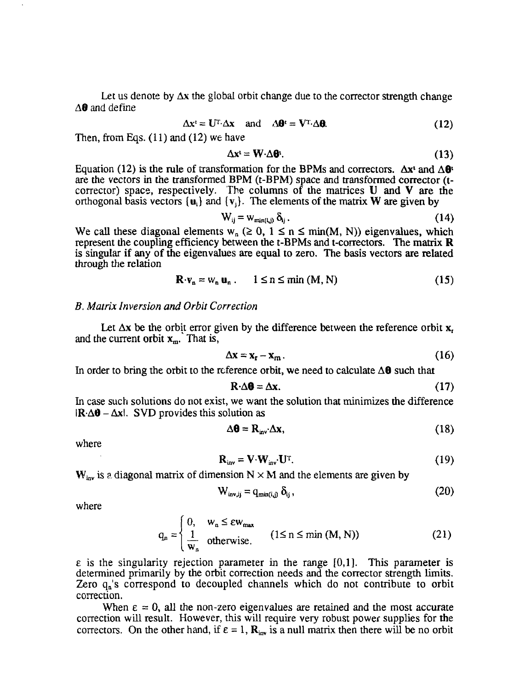Let us denote by  $\Delta x$  the global orbit change due to the corrector strength change A**8** and define

$$
\Delta x^t = U^T \cdot \Delta x \quad \text{and} \quad \Delta \theta^t = V^T \cdot \Delta \theta. \tag{12}
$$

Then, from Eqs.  $(11)$  and  $(12)$  we have

$$
\Delta \mathbf{x}^{\mathsf{t}} = \mathbf{W} \cdot \Delta \mathbf{\Theta}^{\mathsf{t}}.\tag{13}
$$

Equation (12) is the rule of transformation for the BPMs and correctors.  $\Delta x^t$  and  $\Delta \theta^t$ are the vectors in the transformed BPM (t-BPM) space and transformed corrector (tcorrector) space, respectively. The columns of the matrices U and V are the orthogonal basis vectors  $\{u_i\}$  and  $\{v_i\}$ . The elements of the matrix W are given by

$$
W_{ij} = W_{min(i,j)} \, \delta_{ij} \,. \tag{14}
$$

We call these diagonal elements  $w_n \geq 0$ ,  $1 \leq n \leq \min(M, N)$ ) eigenvalues, which represent the coupling efficiency between the t-BPMs and t-correctors. The matrix  $\bf{R}$ is singular if any of the eigenvalues are equal to zero. The basis vectors are related through the relation

$$
\mathbf{R} \cdot \mathbf{v}_n = \mathbf{w}_n \, \mathbf{u}_n \, . \qquad 1 \le n \le \min\left(M, N\right) \tag{15}
$$

## *B. Matrix Inversion and Orbit Correction*

Let  $\Delta x$  be the orbit error given by the difference between the reference orbit x. and the current orbit  $x_m$ . That is,

$$
\Delta x = x_r - x_m. \tag{16}
$$

In order to bring the orbit to the reference orbit, we need to calculate  $\Delta \mathbf{0}$  such that

$$
\mathbf{R} \cdot \Delta \mathbf{\theta} = \Delta \mathbf{x}.\tag{17}
$$

In case such solutions do not exist, we want the solution that minimizes the difference  $|{\bf R}\cdot \Delta \theta - \Delta {\bf x}|$ . SVD provides this solution as

$$
\Delta \mathbf{\Theta} = \mathbf{R}_{\text{inv}} \Delta \mathbf{x},\tag{18}
$$

where

$$
\mathbf{R}_{\text{inv}} = \mathbf{V} \cdot \mathbf{W}_{\text{inv}} \cdot \mathbf{U}^{\text{T}}. \tag{19}
$$

 $W_{\text{inv}}$  is a diagonal matrix of dimension  $N \times M$  and the elements are given by

$$
W_{inv,ij} = q_{min(i,j)} \, \delta_{ij} \,, \tag{20}
$$

where

$$
q_n = \begin{cases} 0, & w_n \le \varepsilon w_{\text{max}} \\ \frac{1}{w_n} & \text{otherwise.} \end{cases} \quad (1 \le n \le \min (M, N)) \tag{21}
$$

 $\epsilon$  is the singularity rejection parameter in the range  $[0,1]$ . This parameter is determined primarily by the orbit correction needs and the corrector strength limits. Zero q<sub>n</sub>'s correspond to decoupled channels which do not contribute to orbit correction.

When  $\epsilon = 0$ , all the non-zero eigenvalues are retained and the most accurate correction will result. However, this will require very robust power supplies for the correctors. On the other hand, if  $\epsilon = 1$ ,  $\mathbf{R}_{\text{inv}}$  is a null matrix then there will be no orbit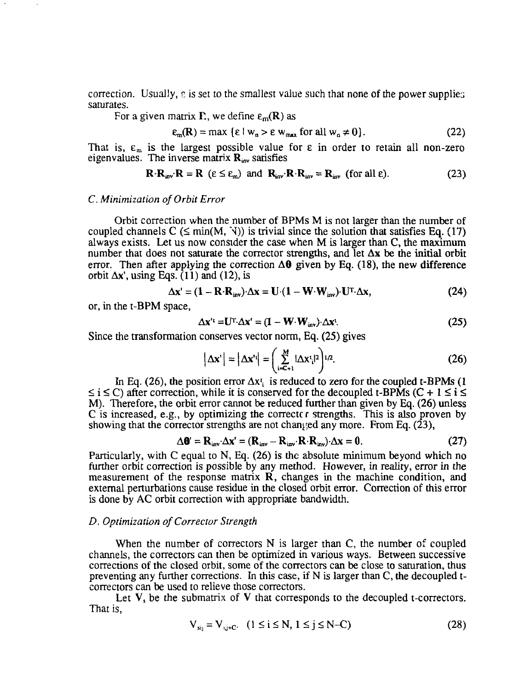correction. Usually,  $\varepsilon$  is set to the smallest value such that none of the power supplies saturates.

For a given matrix  $\Gamma$ , we define  $\varepsilon_m(R)$  as

$$
\varepsilon_{m}(\mathbf{R}) = \max \left\{ \varepsilon \mid \mathbf{w}_{n} > \varepsilon \mathbf{w}_{\max} \text{ for all } \mathbf{w}_{n} \neq 0 \right\}. \tag{22}
$$

That is,  $\varepsilon_m$  is the largest possible value for  $\varepsilon$  in order to retain all non-zero eigenvalues. The inverse matrix  $\mathbf{R}_{\text{inv}}$  satisfies

$$
\mathbf{R} \cdot \mathbf{R}_{\text{inv}} \cdot \mathbf{R} = \mathbf{R} \ (\varepsilon \le \varepsilon_m) \ \text{and} \ \mathbf{R}_{\text{inv}} \cdot \mathbf{R} \cdot \mathbf{R}_{\text{inv}} = \mathbf{R}_{\text{inv}} \ (\text{for all } \varepsilon). \tag{23}
$$

# *C. Minimization of Orbit Error*

Orbit correction when the number of BPMs M is not larger than the number of coupled channels  $C \leq \min(M, \mathcal{N})$  is trivial since the solution that satisfies Eq. (17) always exists. Let us now consider the case when M is larger than C, the maximum number that does not saturate the corrector strengths, and let  $\Delta x$  be the initial orbit error. Then after applying the correction  $\Delta\theta$  given by Eq. (18), the new difference orbit  $\Delta x'$ , using Eqs. (11) and (12), is

$$
\Delta \mathbf{x}' = (1 - \mathbf{R} \cdot \mathbf{R}_{\text{inv}}) \cdot \Delta \mathbf{x} = \mathbf{U} \cdot (1 - \mathbf{W} \cdot \mathbf{W}_{\text{inv}}) \cdot \mathbf{U}^{\mathsf{T}} \cdot \Delta \mathbf{x},\tag{24}
$$

or, in the t-BPM space,

$$
\Delta \mathbf{x}' = \mathbf{U}^{\mathrm{T}} \cdot \Delta \mathbf{x}' = (\mathbf{I} - \mathbf{W} \cdot \mathbf{W}_{\mathrm{inv}}) \cdot \Delta \mathbf{x}'.
$$
 (25)

Since the transformation conserves vector norm, Eq. (25) gives

$$
\left|\Delta \mathbf{x}'\right| = \left|\Delta \mathbf{x}'\right| = \left(\sum_{i=C+1}^{M} |\Delta \mathbf{x}'_i|^2\right)^{1/2}.\tag{26}
$$

In Eq. (26), the position error  $\Delta x_i$  is reduced to zero for the coupled t-BPMs (1)  $\leq i \leq C$ ) after correction, while it is conserved for the decoupled t-BPMs (C + 1  $\leq i \leq$ M). Therefore, the orbit error cannot be reduced further than given by Eq. (26) unless C is increased, e.g., by optimizing the correct  $\epsilon$  strengths. This is also proven by showing that the corrector strengths are not changed any more. From Eq.  $(23)$ ,

$$
\Delta \mathbf{0}' = \mathbf{R}_{\text{inv}} \Delta \mathbf{x}' = (\mathbf{R}_{\text{inv}} - \mathbf{R}_{\text{inv}} \cdot \mathbf{R} \cdot \mathbf{R}_{\text{inv}}) \cdot \Delta \mathbf{x} = 0. \tag{27}
$$

Particularly, with C equal to N, Eq. (26) is the absolute minimum beyond which no further orbit correction is possible by any method. However, in reality, error in the measurement of the response matrix R, changes in the machine condition, and external perturbations cause residue in the closed orbit error. Correction of this error is done by AC orbit correction with appropriate bandwidth.

# *D. Optimization of Corrector Strength*

When the number of correctors N is larger than C, the number of coupled channels, the correctors can then be optimized in various ways. Between successive corrections of the closed orbit, some of the correctors can be close to saturation, thus preventing any further corrections. In this case, if N is larger than C, the decoupled tcorrectors can be used to relieve those correctors.

Let  $V$ , be the submatrix of  $V$  that corresponds to the decoupled t-correctors. That is,

$$
V_{sij} = V_{i,j+C}.
$$
 (1 \le i \le N, 1 \le j \le N-C) (28)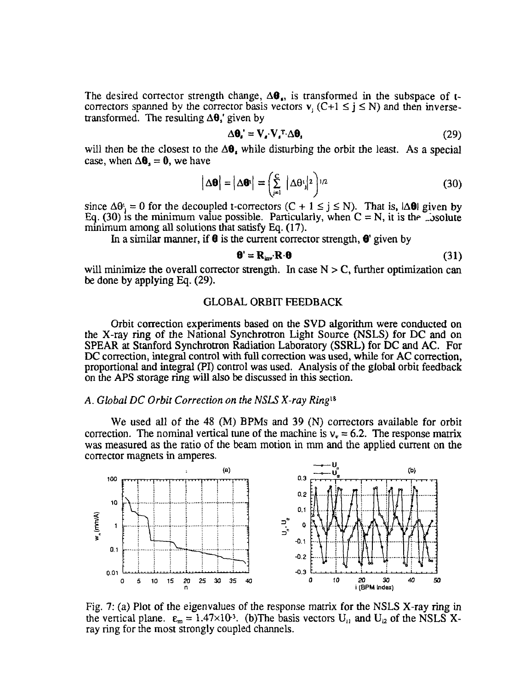The desired corrector strength change,  $\Delta \mathbf{\theta}_{i}$ , is transformed in the subspace of tcorrectors spanned by the corrector basis vectors  $v_i$  (C+1  $\leq$  j  $\leq$  N) and then inversetransformed. The resulting  $\Delta\theta$ , given by

$$
\Delta \mathbf{\theta}_{\mathbf{s}} = \mathbf{V}_{\mathbf{s}} \cdot \mathbf{V}_{\mathbf{s}}^{\mathrm{T}} \cdot \Delta \mathbf{\theta}_{\mathbf{s}}
$$
 (29)

will then be the closest to the  $\Delta\theta$ , while disturbing the orbit the least. As a special case, when  $\Delta\theta$ , = 0, we have

$$
\left|\Delta\boldsymbol{\theta}\right| = \left|\Delta\boldsymbol{\theta}^*\right| = \left(\sum_{j=1}^C \left|\Delta\theta^j\right|^2\right)^{1/2} \tag{30}
$$

since  $\Delta\theta_i = 0$  for the decoupled t-correctors  $(C + 1 \le j \le N)$ . That is,  $|\Delta\theta|$  given by Eq. (30) is the minimum value possible. Particularly, when  $C = N$ , it is the Lysolute minimum among all solutions that satisfy Eq. (17).

In a similar manner, if  $\theta$  is the current corrector strength,  $\theta$ ' given by

$$
\mathbf{\Theta}^{\prime} = \mathbf{R}_{\text{inv}} \mathbf{R} \cdot \mathbf{\Theta}
$$
 (31)

will minimize the overall corrector strength. In case  $N > C$ , further optimization can be done by applying Eq. (29).

# GLOBAL ORBIT FEEDBACK

Orbit correction experiments based on the SVD algorithm were conducted on the X-ray ring of the National Synchrotron Light Source (NSLS) for DC and on SPEAR at Stanford Synchrotron Radiation Laboratory (SSRL) for DC and AC. For DC correction, integral control with full correction was used, while for AC correction, proportional and integral (PI) control was used. Analysis of the global orbit feedback on the APS storage ring will also be discussed in this section.

## A. *Global DC Orbit Correction on the NSLS X-ray Ring™*

We used all of the 48 (M) BPMs and 39 (N) correctors available for orbit correction. The nominal vertical tune of the machine is  $v_r = 6.2$ . The response matrix was measured as the ratio of the beam motion in mm and the applied current on the corrector magnets in amperes.



Fig. 7: (a) Plot of the eigenvalues of the response matrix for the NSLS X-ray ring in the vertical plane.  $\varepsilon_m = 1.47 \times 10^3$ . (b) The basis vectors  $U_{i1}$  and  $U_{i2}$  of the NSLS Xray ring for the most strongly coupled channels.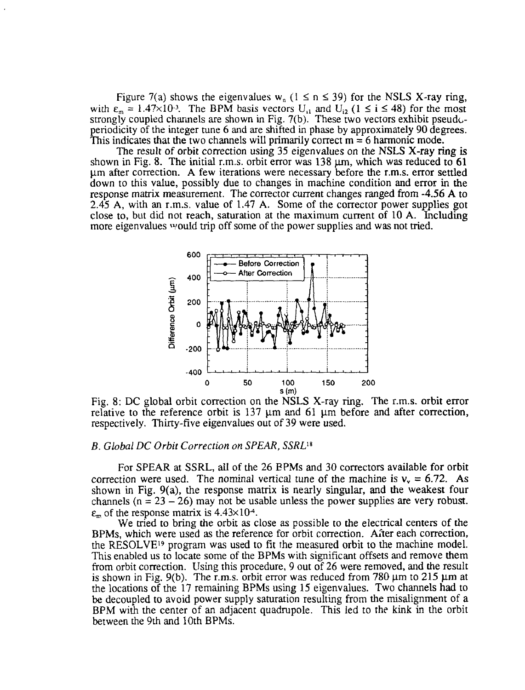Figure 7(a) shows the eigenvalues w<sub>n</sub> ( $1 \le n \le 39$ ) for the NSLS X-ray ring, with  $\varepsilon_m = 1.47 \times 10^{-3}$ . The BPM basis vectors U<sub>1</sub> and U<sub>12</sub> (1  $\le i \le 48$ ) for the most strongly coupled channels are shown in Fig. 7(b). These two vectors exhibit pseudoperiodicity of the integer tune 6 and are shifted in phase by approximately 90 degrees. This indicates that the two channels will primarily correct  $m = 6$  harmonic mode.

The result of orbit correction using 35 eigenvalues on the NSLS X-ray ring is shown in Fig. 8. The initial r.m.s. orbit error was  $138 \mu m$ , which was reduced to 61 u.m after correction. A few iterations were necessary before the r.m.s. error settled down to this value, possibly due to changes in machine condition and error in the response matrix measurement. The corrector current changes ranged from -4.56 A to 2.45 A, with an r.m.s. value of 1.47 A. Some of the corrector power supplies got close to, but did not reach, saturation at the maximum current of 10 A. Including more eigenvalues »/ould trip off some of the power supplies and was not tried.



Fig. 8: DC global orbit correction on the NSLS X-ray ring. The r.m.s. orbit error relative to the reference orbit is  $137 \mu m$  and  $61 \mu m$  before and after correction, respectively. Thirty-five eigenvalues out of 39 were used.

#### *B. Global DC Orbit Correction on SPEAR, SSRL™*

For SPEAR at SSRL, all of the 26 EPMs and 30 correctors available for orbit correction were used. The nominal vertical tune of the machine is  $v_y = 6.72$ . As shown in Fig. 9(a), the response matrix is nearly singular, and the weakest four channels ( $n = 23 - 26$ ) may not be usable unless the power supplies are very robust.  $\epsilon_{\rm m}$  of the response matrix is 4.43×10<sup>-4</sup>.

We tried to bring the orbit as close as possible to the electrical centers of the BPMs, which were used as the reference for orbit correction. After each correction, the RESOLVE<sup>19</sup> program was used to fit the measured orbit to the machine model. This enabled us to locate some of the BPMs with significant offsets and remove them from orbit correction. Using this procedure, 9 out of 26 were removed, and the result is shown in Fig. 9(b). The r.m.s. orbit error was reduced from  $780 \mu m$  to  $215 \mu m$  at the locations of the 17 remaining BPMs using 15 eigenvalues. Two channels had to be decoupled to avoid power supply saturation resulting from the misalignment of a BPM with the center of an adjacent quadrupole. This led to the kink in the orbit between the 9th and 10th BPMs.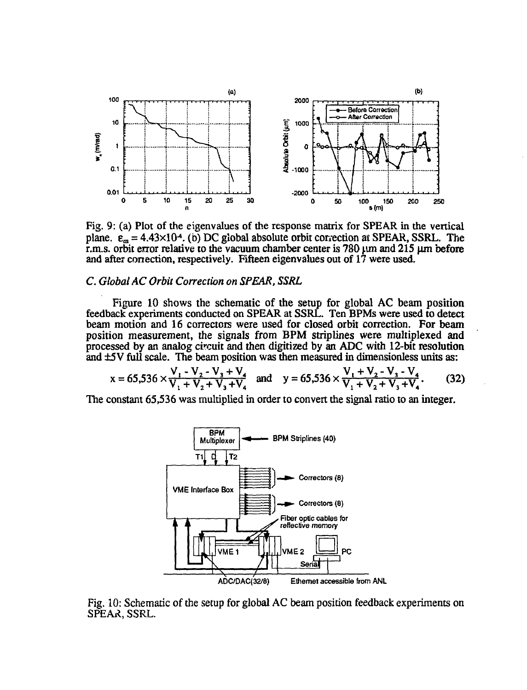

Fig. 9: (a) Plot of the eigenvalues of the response matrix for SPEAR in the vertical plane.  $\varepsilon_m = 4.43 \times 10^4$ . (b) DC global absolute orbit correction at SPEAR, SSRL. The r.m.s. orbit error relative to the vacuum chamber center is 780  $\mu$ m and 215  $\mu$ m before and after correction, respectively. Fifteen eigenvalues out of 17 were used.

# *C. Global AC Orbit Correction on SPEAR, SSRL*

Figure 10 shows the schematic of the setup for global AC beam position feedback experiments conducted on SPEAR at SSRL. Ten BPMs were used to detect beam motion and 16 correctors were used for closed orbit correction. For beam position measurement, *the* signals from BPM striplines were multiplexed and processed by an analog circuit and then digitized by an ADC with 12-bit resolution and ±5V full scale. The beam position was then measured in dimensionless units as:

$$
x = 65,536 \times \frac{V_1 - V_2 - V_3 + V_4}{V_1 + V_2 + V_3 + V_4} \text{ and } y = 65,536 \times \frac{V_1 + V_2 - V_3 - V_4}{V_1 + V_2 + V_3 + V_4}. \tag{32}
$$

The constant 65,536 was multiplied in order to convert the signal ratio to an integer.



Fig. 10: Schematic of the setup for global AC beam position feedback experiments on SPEAR, SSRL.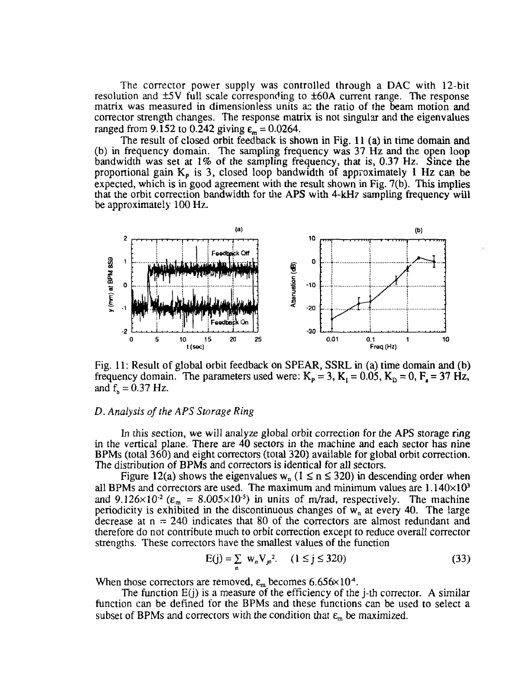The corrector power supply was controlled through a DAC with 12-bit resolution and ±5V full scale corresponding to ±60A current range. The response matrix was measured in dimensionless units as the ratio of the beam motion and corrector strength changes. The response matrix is not singular and the eigenvalues ranged from 9.152 to 0.242 giving  $\varepsilon_m = 0.0264$ .

The result of closed orbit feedback is shown in Fig. 11 (a) in time domain and (b) in frequency domain. The sampling frequency was  $37 \text{ Hz}$  and the open loop bandwidth was set at *1%* of the sampling frequency, that is, 0.37 Hz. Since the proportional gain  $K_p$  is 3, closed loop bandwidth of approximately 1 Hz can be expected, which is in good agreement with the result shown in Fig. 7(b). This implies that the orbit correction bandwidth for the APS with 4-kH7 sampling frequency will be approximately 100 Hz.



Fig. 11: Result of global orbit feedback on SPEAR, SSRL in (a) time domain and (b) frequency domain. The parameters used were:  $K_p = 3$ ,  $K_t = 0.05$ ,  $K_p = 0$ ,  $F_s = 37$  Hz, and  $f<sub>b</sub> = 0.37$  Hz.

### *D. Analysis of the APS Storage Ring*

In this section, we will analyze global orbit correction for the APS storage ring in the vertical plane. There are 40 sectors in the machine and each sector has nine BPMs (total 360) and eight correctors (total 320) available for global orbit correction. The distribution of BPMs and correctors is identical for all sectors.

Figure 12(a) shows the eigenvalues  $w_n$  ( $1 \le n \le 320$ ) in descending order when all BPMs and correctors are used. The maximum and minimum values are  $1.140\times10<sup>3</sup>$ and  $9.126 \times 10^{-2}$  ( $\varepsilon_{\rm m} = 8.005 \times 10^{-5}$ ) in units of m/rad, respectively. The machine periodicity is exhibited in the discontinuous changes of  $w_n$  at every 40. The large decrease at  $n = 240$  indicates that 80 of the correctors are almost redundant and therefore do not contribute much to orbit correction except to reduce overall corrector strengths. These correctors have the smallest values of the function

$$
E(j) = \sum_{n} w_n V_{jn}^2. \quad (1 \le j \le 320)
$$
 (33)

When those correctors are removed,  $\varepsilon_m$  becomes 6.656×10<sup>4</sup>.

The function  $E(j)$  is a measure of the efficiency of the j-th corrector. A similar function can be defined for the BPMs and these functions can be used to select a subset of BPMs and correctors with the condition that  $\varepsilon$ <sub>m</sub> be maximized.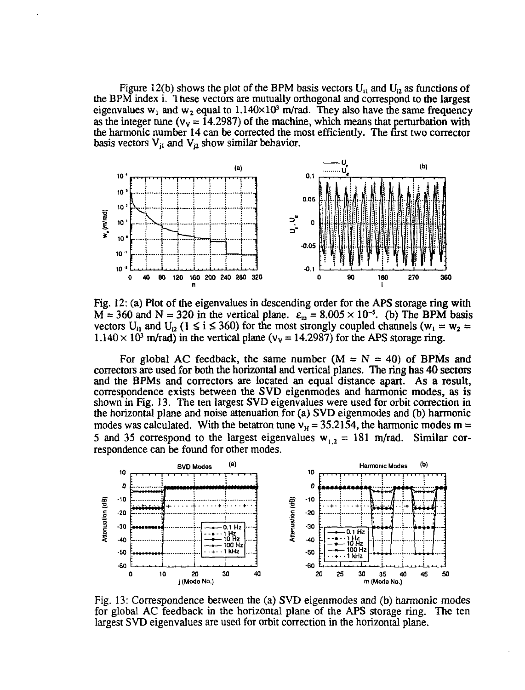Figure 12(b) shows the plot of the BPM basis vectors  $U_{i1}$  and  $U_{i2}$  as functions of the BPM index i. 1 hese vectors are mutually orthogonal and correspond to the largest eigenvalues w<sub>1</sub> and w<sub>2</sub> equal to  $1.140 \times 10^3$  m/rad. They also have the same frequency as the integer tune ( $v_y = 14.2987$ ) of the machine, which means that perturbation with the harmonic number 14 can be corrected the most efficiently. The first two corrector basis vectors  $V_{i1}$  and  $V_{i2}$  show similar behavior.



Fig. 12: (a) Plot of the eigenvalues in descending order for the APS storage ring with  $M = 360$  and  $N = 320$  in the vertical plane.  $\varepsilon_m = 8.005 \times 10^{-5}$ . (b) The BPM basis vectors U<sub>i1</sub> and U<sub>i2</sub> (1  $\le$  i  $\le$  360) for the most strongly coupled channels (w<sub>1</sub> = w<sub>2</sub> =  $1.140 \times 10^3$  m/rad) in the vertical plane ( $v_y = 14.2987$ ) for the APS storage ring.

For global AC feedback, the same number  $(M = N = 40)$  of BPMs and correctors are used for both the horizontal and vertical planes. The ring has 40 sectors and the BPMs and correctors are located an equal distance apart. As a result, correspondence exists between the SVD eigenmodes and harmonic modes, as is shown in Fig. 13. The ten largest SVD eigenvalues were used for orbit correction in the horizontal plane and noise attenuation for (a) SVD eigenmodes and (b) harmonic modes was calculated. With the betatron tune  $v_H = 35.2154$ , the harmonic modes m = 5 and 35 correspond to the largest eigenvalues  $w_{1,2} = 181$  m/rad. Similar correspondence can be found for other modes.



Fig. 13: Correspondence between the (a) SVD eigenmodes and (b) harmonic modes for global AC feedback in the horizontal plane of the APS storage ring. The ten largest SVD eigenvalues are used for orbit correction in the horizontal plane.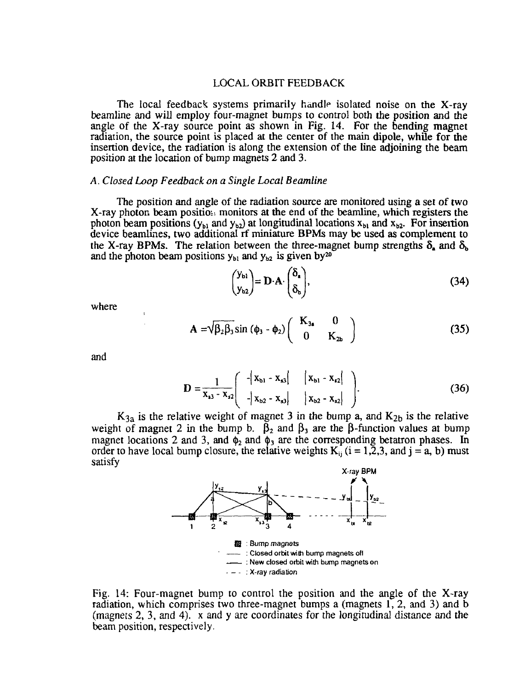#### LOCAL ORBIT FEEDBACK

The local feedback systems primarily handle isolated noise on the X-ray beamline and will employ four-magnet bumps to control both the position and the angle of the X-ray source point as shown in Fig. 14. For the bending magnet radiation, the source point is placed at the center of the main dipole, while for the insertion device, the radiation is along the extension of the line adjoining the beam position at the location of bump magnets 2 and 3.

#### *A. Closed Loop Feedback on a Single Local Beamline*

The position and angle of the radiation source are monitored using a set of two X-ray photon beam position monitors at the end of the beamline, which registers the photon beam positions ( $y_{b1}$  and  $y_{b2}$ ) at longitudinal locations  $x_{b1}$  and  $x_{b2}$ . For insertion device beamlines, two additional rf miniature BPMs may be used as complement to the X-ray BPMs. The relation between the three-magnet bump strengths  $\delta_a$  and  $\delta_b$ and the photon beam positions  $y_{b1}$  and  $y_{b2}$  is given by<sup>20</sup>

$$
\begin{pmatrix} y_{\mathbf{b}1} \\ y_{\mathbf{b}2} \end{pmatrix} = \mathbf{D} \cdot \mathbf{A} \cdot \begin{pmatrix} \delta_{\mathbf{a}} \\ \delta_{\mathbf{b}} \end{pmatrix},\tag{34}
$$

where

$$
\mathbf{A} = \sqrt{\beta_2 \beta_3} \sin (\phi_3 - \phi_2) \begin{pmatrix} \mathbf{K}_{3a} & 0 \\ 0 & \mathbf{K}_{2b} \end{pmatrix}
$$
 (35)

and

$$
D = \frac{1}{x_{s3} - x_{s2}} \begin{pmatrix} -|x_{b1} - x_{s3}| & |x_{b1} - x_{s2}| \\ -|x_{b2} - x_{s3}| & |x_{b2} - x_{s2}| \end{pmatrix}.
$$
 (36)

 $K_{3a}$  is the relative weight of magnet 3 in the bump a, and  $K_{2b}$  is the relative weight of magnet 2 in the bump b.  $\beta_2$  and  $\beta_3$  are the  $\beta$ -function values at bump magnet locations 2 and 3, and  $\phi_2$  and  $\phi_3$  are the corresponding betatron phases. In order to have local bump closure, the relative weights  $K_i$  ( $i = 1,2,3$ , and  $j = a$ , b) must satisfy



Fig. 14: Four-magnet bump to control the position and the angle of the X-ray radiation, which comprises two three-magnet bumps a (magnets 1, 2, and 3) and b (magnets 2, 3, and 4). x and y are coordinates for the longitudinal distance and the beam position, respectively.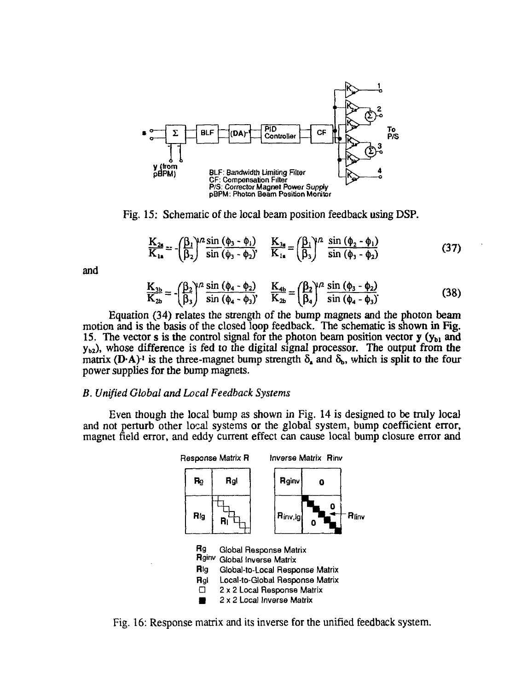

Fig. 15: Schematic of the local beam position feedback using DSP.

$$
\frac{K_{2a}}{K_{1a}} = -\left(\frac{\beta_1}{\beta_2}\right)^{1/2} \frac{\sin(\phi_3 - \phi_1)}{\sin(\phi_3 - \phi_2)}, \quad \frac{K_{3a}}{K_{1a}} = \left(\frac{\beta_1}{\beta_3}\right)^{1/2} \frac{\sin(\phi_2 - \phi_1)}{\sin(\phi_3 - \phi_2)}\tag{37}
$$

and

$$
\frac{K_{3b}}{K_{2b}} = -\left(\frac{\beta_2}{\beta_3}\right)^{1/2} \frac{\sin (\phi_4 - \phi_2)}{\sin (\phi_4 - \phi_3)}, \quad \frac{K_{4b}}{K_{2b}} = \left(\frac{\beta_2}{\beta_4}\right)^{1/2} \frac{\sin (\phi_3 - \phi_2)}{\sin (\phi_4 - \phi_3)}\tag{38}
$$

Equation (34) relates the strength of the bump magnets and the photon beam motion and is the basis of the closed loop feedback. The schematic is shown in Fig. 15. The vector s is the control signal for the photon beam position vector  $y(y_{b1}$  and  $y_{b2}$ ), whose difference is fed to the digital signal processor. The output from the matrix (D·A)<sup>-1</sup> is the three-magnet bump strength  $\delta_{\bf k}$  and  $\delta_{\bf b}$ , which is split to the four power supplies for the bump magnets.

#### *B. Unified Global and Local Feedback Systems*

Even though the local bump as shown in Fig. 14 is designed to be truly local and not perturb other local systems or the global system, bump coefficient error, magnet field error, and eddy current effect can cause local bump closure error and



Fig. 16: Response matrix and its inverse for the unified feedback system.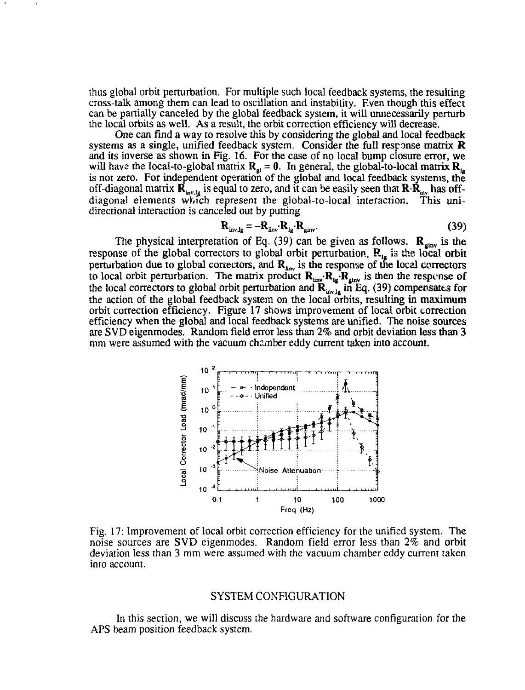thus global orbit perturbation. For multiple such local feedback systems, the resulting cross-talk among them can lead to oscillation and instability. Even though this effect can be partially canceled by the global feedback system, it will unnecessarily perturb the local orbits as well. As a result, the orbit correction efficiency will decrease.

One can find a way to resolve this by considering the global and local feedback systems as a single, unified feedback system. Consider the full response matrix  $$ and its inverse as shown in Fig. 16. For the case of no local bump closure error, we will have the local-to-global matrix  $R_{gl} = 0$ . In general, the global-to-local matrix  $R_{lg}$ is not zero. For independent operation of the global and local feedback systems, the off-diagonal matrix  $\mathbf{R}_{inv,lg}$  is equal to zero, and it can be easily seen that  $\mathbf{R}\cdot\mathbf{R}_{inv}$  has offdiagonal elements which represent the global-to-local interaction. This unidirectional interaction is canceled out by putting

$$
\mathbf{R}_{\text{inv-lg}} = -\mathbf{R}_{\text{inv}} \cdot \mathbf{R}_{\text{ls}} \cdot \mathbf{R}_{\text{ginv}}.
$$
 (39)

The physical interpretation of Eq. (39) can be given as follows.  $\mathbf{R}_{\text{ginv}}$  is the response of the global correctors to global orbit perturbation,  $\mathbf{R}_{1g}$  is the local orbit perturbation due to global correctors, and  $\mathbf{R}_{\text{inv}}$  is the response of the local correctors to local orbit perturbation. The matrix product  $\mathbf{R}_{\text{inv}}\cdot\mathbf{R}_{\text{inv}}$  is then the response of the local correctors to global orbit perturbation and  $\mathbf{R}_{i_{\text{new}}}$  in Eq. (39) compensates for the action of the global feedback system on the local orbits, resulting in maximum orbit correction efficiency. Figure 17 shows improvement of local orbit correction efficiency when the global and local feedback systems are unified. The noise sources are SVD eigenmodes. Random field error less than 2% and orbit deviation less than 3 mm were assumed with the vacuum chamber eddy current taken into account.



Fig. 17: Improvement of local orbit correction efficiency for the unified system. The noise sources are SVD eigenmodes. Random field error less than *2%* and orbit deviation less than 3 mm were assumed with the vacuum chamber eddy current taken into account.

# SYSTEM CONFIGURATION

In this section, we will discuss the hardware and software configuration for the APS beam position feedback system.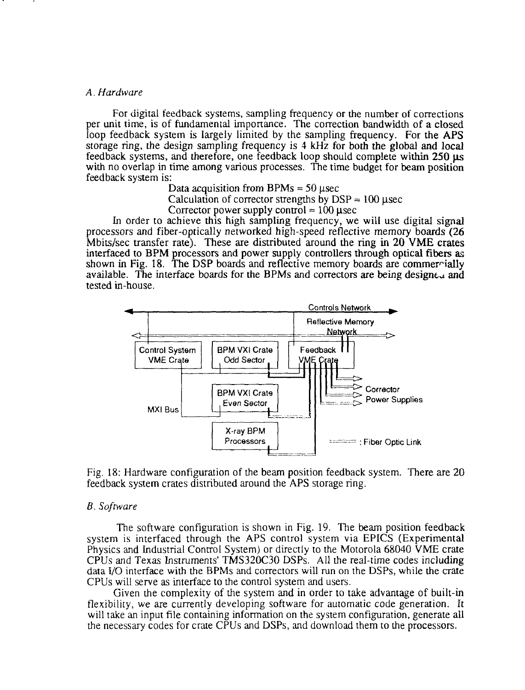#### *A. Hardware*

For digital feedback systems, sampling frequency or the number of corrections per unit time, is of fundamental importance. The correction bandwidth of a closed loop feedback system is largely limited by the sampling frequency. For the APS storage ring, the design sampling frequency is 4 kHz for both the global and local feedback systems, and therefore, one feedback loop should complete within 250 *\is* with no overlap in time among various processes. The time budget for beam position feedback system is:

Data acquisition from BPMs  $\approx$  50 usec

Calculation of corrector strengths by  $DSP \approx 100 \mu$ sec

Corrector power supply control  $\approx 100$  usec

In order to achieve this high sampling frequency, we will use digital signal processors and fiber-optically networked high-speed reflective memory boards (26 Mbits/sec transfer rate). These are distributed around the ring in 20 VME crates interfaced to BPM processors and power supply controllers through optical fibers as shown in Fig. 18. The DSP boards and reflective memory boards are commercially available. The interface boards for the BPMs and correctors are being designed and tested in-house.



Fig. 18: Hardware configuration of the beam position feedback system. There are 20 feedback system crates distributed around the APS storage ring.

#### *B. Software*

The software configuration is shown in Fig. 19. The beam position feedback system is interfaced through the APS control system via EPICS (Experimental Physics and Industrial Control System) or directly to the Motorola 68040 VME crate CPUs and Texas Instruments' TMS320C30 DSPs. All the real-time codes including data I/O interface with the BPMs and correctors will run on the DSPs, while the crate CPUs will serve as interface to the control system and users.

Given the complexity of the system and in order to take advantage of built-in flexibility, we are currently developing software for automatic code generation. It will take an input file containing information on the system configuration, generate all the necessary codes for crate CPUs and DSPs, and download them to the processors.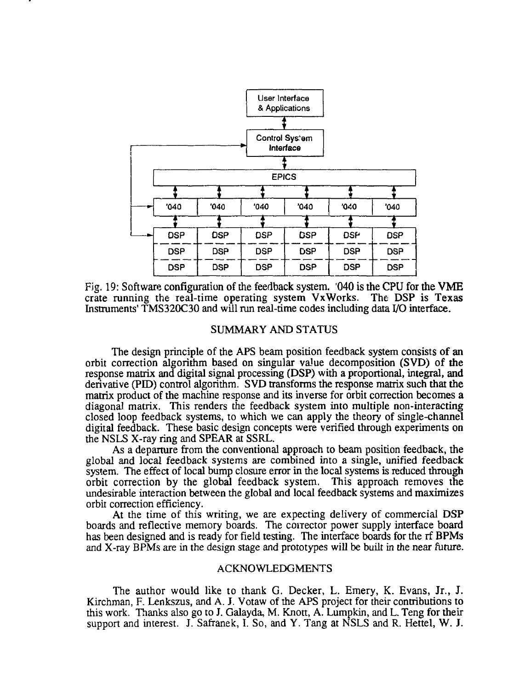

Fig. 19: Software configuration of the feedback system. '040 is the CPU for the VME crate running the real-time operating system VxWorks. The DSP is Texas Instruments' TMS320C30 and will run real-time codes including data I/O interface.

## SUMMARY AND STATUS

The design principle of the APS beam position feedback system consists of an orbit correction algorithm based on singular value decomposition (SVD) of the response matrix and digital signal processing (DSP) with a proportional, integral, and derivative (PED) control algorithm. SVD transforms the response matrix such that the matrix product of the machine response and its inverse for orbit correction becomes a diagonal matrix. This renders the feedback system into multiple non-interacting closed loop feedback systems, to which we can apply the theory of single-channel digital feedback. These basic design concepts were verified through experiments on the NSLS X-ray ring and SPEAR at SSRL.

As a departure from the conventional approach to beam position feedback, the global and local feedback systems are combined into a single, unified feedback system. The effect of local bump closure error in the local systems is reduced through orbit correction by the global feedback system. This approach removes the undesirable interaction between the global and local feedback systems and maximizes orbit correction efficiency.

At the time of this writing, we are expecting delivery of commercial DSP boards and reflective memory boards. The conector power supply interface board has been designed and is ready for field testing. The interface boards for the rf BPMs and X-ray BPMs are in the design stage and prototypes will be built in the near future.

## ACKNOWLEDGMENTS

The author would like to thank G. Decker, L. Emery, K. Evans, Jr., J. Kirchman, F. Lenkszus, and A. J. Votaw of the APS project for their contributions to this work. Thanks also go to J. Galayda, M. Knott, A. Lumpkin, and L. Teng for their support and interest. J. Safranek, I. So, and Y. Tang at NSLS and R. Hettel, W. J.